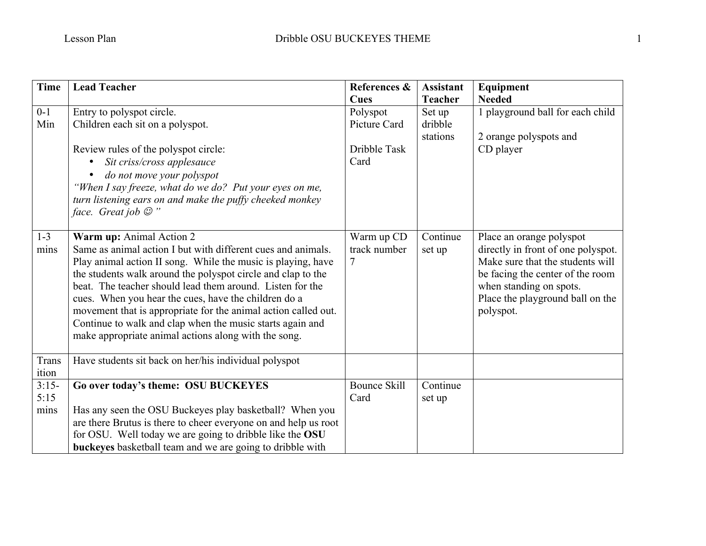| <b>Time</b> | <b>Lead Teacher</b>                                             | References &        | <b>Assistant</b> | Equipment                          |
|-------------|-----------------------------------------------------------------|---------------------|------------------|------------------------------------|
|             |                                                                 | Cues                | <b>Teacher</b>   | <b>Needed</b>                      |
| $0 - 1$     | Entry to polyspot circle.                                       | Polyspot            | Set up           | 1 playground ball for each child   |
| Min         | Children each sit on a polyspot.                                | Picture Card        | dribble          |                                    |
|             |                                                                 |                     | stations         | 2 orange polyspots and             |
|             | Review rules of the polyspot circle:                            | Dribble Task        |                  | CD player                          |
|             | Sit criss/cross applesauce<br>$\bullet$                         | Card                |                  |                                    |
|             | do not move your polyspot                                       |                     |                  |                                    |
|             | "When I say freeze, what do we do? Put your eyes on me,         |                     |                  |                                    |
|             | turn listening ears on and make the puffy cheeked monkey        |                     |                  |                                    |
|             | face. Great job $\mathcal{O}$ "                                 |                     |                  |                                    |
|             |                                                                 |                     |                  |                                    |
| $1 - 3$     | Warm up: Animal Action 2                                        | Warm up CD          | Continue         | Place an orange polyspot           |
| mins        | Same as animal action I but with different cues and animals.    | track number        | set up           | directly in front of one polyspot. |
|             | Play animal action II song. While the music is playing, have    | 7                   |                  | Make sure that the students will   |
|             | the students walk around the polyspot circle and clap to the    |                     |                  | be facing the center of the room   |
|             | beat. The teacher should lead them around. Listen for the       |                     |                  | when standing on spots.            |
|             | cues. When you hear the cues, have the children do a            |                     |                  | Place the playground ball on the   |
|             | movement that is appropriate for the animal action called out.  |                     |                  | polyspot.                          |
|             | Continue to walk and clap when the music starts again and       |                     |                  |                                    |
|             | make appropriate animal actions along with the song.            |                     |                  |                                    |
|             |                                                                 |                     |                  |                                    |
| Trans       | Have students sit back on her/his individual polyspot           |                     |                  |                                    |
| ition       |                                                                 |                     |                  |                                    |
| $3:15-$     | Go over today's theme: OSU BUCKEYES                             | <b>Bounce Skill</b> | Continue         |                                    |
| 5:15        |                                                                 | Card                | set up           |                                    |
| mins        | Has any seen the OSU Buckeyes play basketball? When you         |                     |                  |                                    |
|             | are there Brutus is there to cheer everyone on and help us root |                     |                  |                                    |
|             | for OSU. Well today we are going to dribble like the OSU        |                     |                  |                                    |
|             | buckeyes basketball team and we are going to dribble with       |                     |                  |                                    |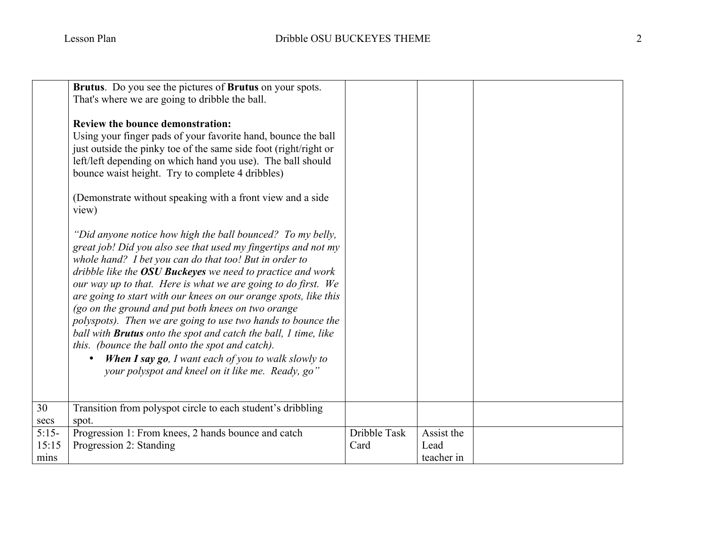|               | Brutus. Do you see the pictures of Brutus on your spots.<br>That's where we are going to dribble the ball.<br><b>Review the bounce demonstration:</b><br>Using your finger pads of your favorite hand, bounce the ball<br>just outside the pinky toe of the same side foot (right/right or<br>left/left depending on which hand you use). The ball should<br>bounce waist height. Try to complete 4 dribbles)<br>(Demonstrate without speaking with a front view and a side)<br>view)                                                                                                                                                                                                                                                                            |              |                    |  |
|---------------|------------------------------------------------------------------------------------------------------------------------------------------------------------------------------------------------------------------------------------------------------------------------------------------------------------------------------------------------------------------------------------------------------------------------------------------------------------------------------------------------------------------------------------------------------------------------------------------------------------------------------------------------------------------------------------------------------------------------------------------------------------------|--------------|--------------------|--|
|               | "Did anyone notice how high the ball bounced? To my belly,<br>great job! Did you also see that used my fingertips and not my<br>whole hand? I bet you can do that too! But in order to<br>dribble like the <b>OSU Buckeyes</b> we need to practice and work<br>our way up to that. Here is what we are going to do first. We<br>are going to start with our knees on our orange spots, like this<br>(go on the ground and put both knees on two orange<br>polyspots). Then we are going to use two hands to bounce the<br>ball with <b>Brutus</b> onto the spot and catch the ball, 1 time, like<br>this. (bounce the ball onto the spot and catch).<br>When I say go, I want each of you to walk slowly to<br>your polyspot and kneel on it like me. Ready, go" |              |                    |  |
| 30<br>secs    | Transition from polyspot circle to each student's dribbling<br>spot.                                                                                                                                                                                                                                                                                                                                                                                                                                                                                                                                                                                                                                                                                             |              |                    |  |
| $5:15-$       | Progression 1: From knees, 2 hands bounce and catch                                                                                                                                                                                                                                                                                                                                                                                                                                                                                                                                                                                                                                                                                                              | Dribble Task | Assist the         |  |
| 15:15<br>mins | Progression 2: Standing                                                                                                                                                                                                                                                                                                                                                                                                                                                                                                                                                                                                                                                                                                                                          | Card         | Lead<br>teacher in |  |
|               |                                                                                                                                                                                                                                                                                                                                                                                                                                                                                                                                                                                                                                                                                                                                                                  |              |                    |  |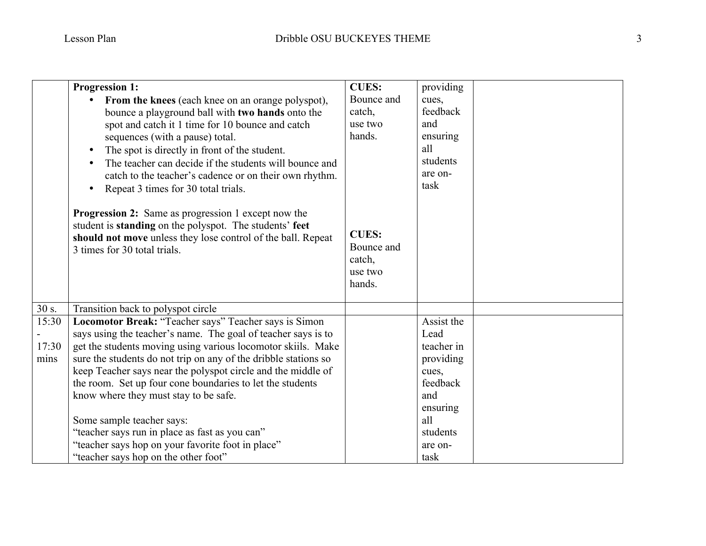|       | <b>Progression 1:</b>                                                                                                                                                                                          | <b>CUES:</b>                                              | providing  |  |
|-------|----------------------------------------------------------------------------------------------------------------------------------------------------------------------------------------------------------------|-----------------------------------------------------------|------------|--|
|       | <b>From the knees</b> (each knee on an orange polyspot),                                                                                                                                                       | Bounce and                                                | cues,      |  |
|       | bounce a playground ball with two hands onto the                                                                                                                                                               | catch,                                                    | feedback   |  |
|       | spot and catch it 1 time for 10 bounce and catch                                                                                                                                                               | use two                                                   | and        |  |
|       | sequences (with a pause) total.                                                                                                                                                                                | hands.                                                    | ensuring   |  |
|       | The spot is directly in front of the student.                                                                                                                                                                  |                                                           | all        |  |
|       | The teacher can decide if the students will bounce and                                                                                                                                                         |                                                           | students   |  |
|       | catch to the teacher's cadence or on their own rhythm.                                                                                                                                                         |                                                           | are on-    |  |
|       | Repeat 3 times for 30 total trials.<br>$\bullet$                                                                                                                                                               |                                                           | task       |  |
|       | Progression 2: Same as progression 1 except now the<br>student is standing on the polyspot. The students' feet<br>should not move unless they lose control of the ball. Repeat<br>3 times for 30 total trials. | <b>CUES:</b><br>Bounce and<br>catch,<br>use two<br>hands. |            |  |
| 30 s. | Transition back to polyspot circle                                                                                                                                                                             |                                                           |            |  |
| 15:30 | Locomotor Break: "Teacher says" Teacher says is Simon                                                                                                                                                          |                                                           | Assist the |  |
|       | says using the teacher's name. The goal of teacher says is to                                                                                                                                                  |                                                           | Lead       |  |
| 17:30 | get the students moving using various locomotor skiils. Make                                                                                                                                                   |                                                           | teacher in |  |
| mins  | sure the students do not trip on any of the dribble stations so                                                                                                                                                |                                                           | providing  |  |
|       | keep Teacher says near the polyspot circle and the middle of                                                                                                                                                   |                                                           | cues,      |  |
|       | the room. Set up four cone boundaries to let the students                                                                                                                                                      |                                                           | feedback   |  |
|       | know where they must stay to be safe.                                                                                                                                                                          |                                                           | and        |  |
|       |                                                                                                                                                                                                                |                                                           | ensuring   |  |
|       | Some sample teacher says:                                                                                                                                                                                      |                                                           | all        |  |
|       | "teacher says run in place as fast as you can"                                                                                                                                                                 |                                                           | students   |  |
|       | "teacher says hop on your favorite foot in place"                                                                                                                                                              |                                                           | are on-    |  |
|       | "teacher says hop on the other foot"                                                                                                                                                                           |                                                           | task       |  |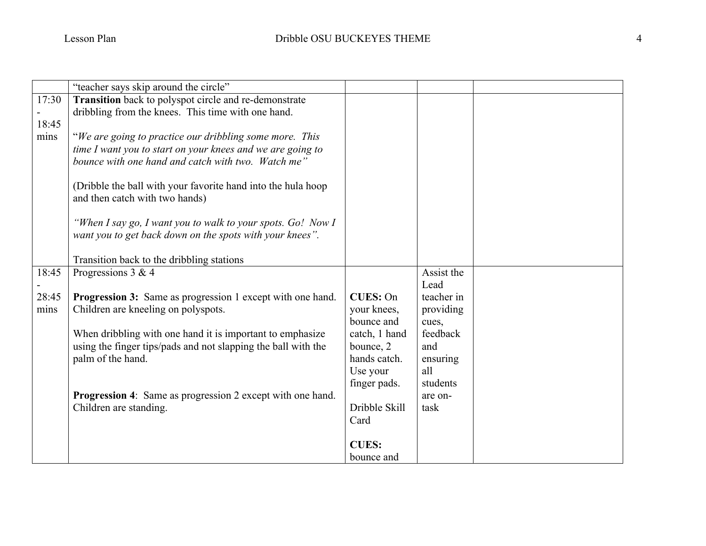|       | "teacher says skip around the circle"                                                                            |                                                                                                 |                                                |  |
|-------|------------------------------------------------------------------------------------------------------------------|-------------------------------------------------------------------------------------------------|------------------------------------------------|--|
| 17:30 | Transition back to polyspot circle and re-demonstrate                                                            |                                                                                                 |                                                |  |
|       | dribbling from the knees. This time with one hand.                                                               |                                                                                                 |                                                |  |
| 18:45 |                                                                                                                  |                                                                                                 |                                                |  |
| mins  | "We are going to practice our dribbling some more. This                                                          |                                                                                                 |                                                |  |
|       | time I want you to start on your knees and we are going to                                                       |                                                                                                 |                                                |  |
|       | bounce with one hand and catch with two. Watch me"                                                               |                                                                                                 |                                                |  |
|       |                                                                                                                  |                                                                                                 |                                                |  |
|       | (Dribble the ball with your favorite hand into the hula hoop                                                     |                                                                                                 |                                                |  |
|       | and then catch with two hands)                                                                                   |                                                                                                 |                                                |  |
|       |                                                                                                                  |                                                                                                 |                                                |  |
|       | "When I say go, I want you to walk to your spots. Go! Now I                                                      |                                                                                                 |                                                |  |
|       | want you to get back down on the spots with your knees".                                                         |                                                                                                 |                                                |  |
|       |                                                                                                                  |                                                                                                 |                                                |  |
|       | Transition back to the dribbling stations                                                                        |                                                                                                 |                                                |  |
| 18:45 | Progressions $3 & 4$                                                                                             |                                                                                                 | Assist the                                     |  |
|       |                                                                                                                  |                                                                                                 | Lead                                           |  |
| 28:45 | <b>Progression 3:</b> Same as progression 1 except with one hand.                                                | <b>CUES: On</b>                                                                                 | teacher in                                     |  |
| mins  | Children are kneeling on polyspots.                                                                              | your knees,                                                                                     | providing                                      |  |
|       |                                                                                                                  | bounce and                                                                                      | cues,                                          |  |
|       | When dribbling with one hand it is important to emphasize                                                        | catch, 1 hand                                                                                   | feedback                                       |  |
|       | using the finger tips/pads and not slapping the ball with the                                                    | bounce, 2                                                                                       | and                                            |  |
|       |                                                                                                                  |                                                                                                 |                                                |  |
|       |                                                                                                                  |                                                                                                 |                                                |  |
|       |                                                                                                                  |                                                                                                 |                                                |  |
|       |                                                                                                                  |                                                                                                 |                                                |  |
|       |                                                                                                                  |                                                                                                 |                                                |  |
|       |                                                                                                                  |                                                                                                 |                                                |  |
|       |                                                                                                                  |                                                                                                 |                                                |  |
|       |                                                                                                                  |                                                                                                 |                                                |  |
|       | palm of the hand.<br><b>Progression 4:</b> Same as progression 2 except with one hand.<br>Children are standing. | hands catch.<br>Use your<br>finger pads.<br>Dribble Skill<br>Card<br><b>CUES:</b><br>bounce and | ensuring<br>all<br>students<br>are on-<br>task |  |